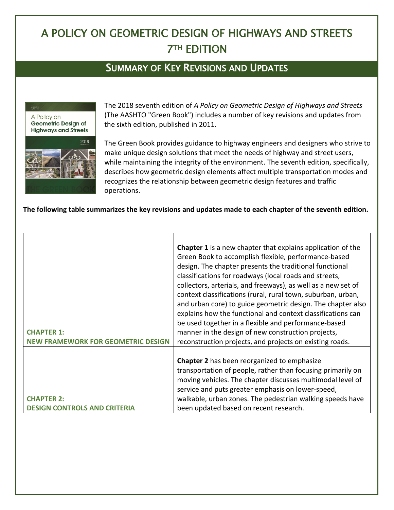## A POLICY ON GEOMETRIC DESIGN OF HIGHWAYS AND STREETS **7TH EDITION**

## SUMMARY OF KEY REVISIONS AND UPDATES



The 2018 seventh edition of *A Policy on Geometric Design of Highways and Streets* (The AASHTO "Green Book") includes a number of key revisions and updates from the sixth edition, published in 2011.

The Green Book provides guidance to highway engineers and designers who strive to make unique design solutions that meet the needs of highway and street users, while maintaining the integrity of the environment. The seventh edition, specifically, describes how geometric design elements affect multiple transportation modes and recognizes the relationship between geometric design features and traffic operations.

## **The following table summarizes the key revisions and updates made to each chapter of the seventh edition.**

| <b>CHAPTER 1:</b><br><b>NEW FRAMEWORK FOR GEOMETRIC DESIGN</b> | <b>Chapter 1</b> is a new chapter that explains application of the<br>Green Book to accomplish flexible, performance-based<br>design. The chapter presents the traditional functional<br>classifications for roadways (local roads and streets,<br>collectors, arterials, and freeways), as well as a new set of<br>context classifications (rural, rural town, suburban, urban,<br>and urban core) to guide geometric design. The chapter also<br>explains how the functional and context classifications can<br>be used together in a flexible and performance-based<br>manner in the design of new construction projects,<br>reconstruction projects, and projects on existing roads. |
|----------------------------------------------------------------|------------------------------------------------------------------------------------------------------------------------------------------------------------------------------------------------------------------------------------------------------------------------------------------------------------------------------------------------------------------------------------------------------------------------------------------------------------------------------------------------------------------------------------------------------------------------------------------------------------------------------------------------------------------------------------------|
| <b>CHAPTER 2:</b><br><b>DESIGN CONTROLS AND CRITERIA</b>       | <b>Chapter 2</b> has been reorganized to emphasize<br>transportation of people, rather than focusing primarily on<br>moving vehicles. The chapter discusses multimodal level of<br>service and puts greater emphasis on lower-speed,<br>walkable, urban zones. The pedestrian walking speeds have<br>been updated based on recent research.                                                                                                                                                                                                                                                                                                                                              |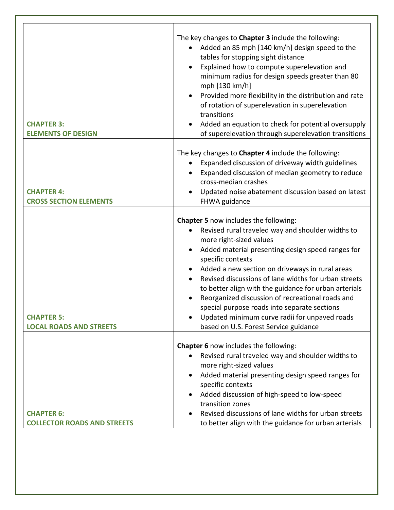| <b>CHAPTER 3:</b><br><b>ELEMENTS OF DESIGN</b>          | The key changes to Chapter 3 include the following:<br>Added an 85 mph [140 km/h] design speed to the<br>tables for stopping sight distance<br>Explained how to compute superelevation and<br>minimum radius for design speeds greater than 80<br>mph [130 km/h]<br>Provided more flexibility in the distribution and rate<br>of rotation of superelevation in superelevation<br>transitions<br>Added an equation to check for potential oversupply<br>of superelevation through superelevation transitions                                                       |
|---------------------------------------------------------|-------------------------------------------------------------------------------------------------------------------------------------------------------------------------------------------------------------------------------------------------------------------------------------------------------------------------------------------------------------------------------------------------------------------------------------------------------------------------------------------------------------------------------------------------------------------|
|                                                         |                                                                                                                                                                                                                                                                                                                                                                                                                                                                                                                                                                   |
| <b>CHAPTER 4:</b><br><b>CROSS SECTION ELEMENTS</b>      | The key changes to Chapter 4 include the following:<br>Expanded discussion of driveway width guidelines<br>Expanded discussion of median geometry to reduce<br>cross-median crashes<br>Updated noise abatement discussion based on latest<br>FHWA guidance                                                                                                                                                                                                                                                                                                        |
|                                                         |                                                                                                                                                                                                                                                                                                                                                                                                                                                                                                                                                                   |
| <b>CHAPTER 5:</b><br><b>LOCAL ROADS AND STREETS</b>     | Chapter 5 now includes the following:<br>Revised rural traveled way and shoulder widths to<br>more right-sized values<br>Added material presenting design speed ranges for<br>specific contexts<br>Added a new section on driveways in rural areas<br>Revised discussions of lane widths for urban streets<br>to better align with the guidance for urban arterials<br>Reorganized discussion of recreational roads and<br>special purpose roads into separate sections<br>Updated minimum curve radii for unpaved roads<br>based on U.S. Forest Service guidance |
|                                                         |                                                                                                                                                                                                                                                                                                                                                                                                                                                                                                                                                                   |
|                                                         | Chapter 6 now includes the following:<br>Revised rural traveled way and shoulder widths to<br>more right-sized values<br>Added material presenting design speed ranges for<br>specific contexts<br>Added discussion of high-speed to low-speed<br>transition zones                                                                                                                                                                                                                                                                                                |
| <b>CHAPTER 6:</b><br><b>COLLECTOR ROADS AND STREETS</b> | Revised discussions of lane widths for urban streets<br>to better align with the guidance for urban arterials                                                                                                                                                                                                                                                                                                                                                                                                                                                     |
|                                                         |                                                                                                                                                                                                                                                                                                                                                                                                                                                                                                                                                                   |